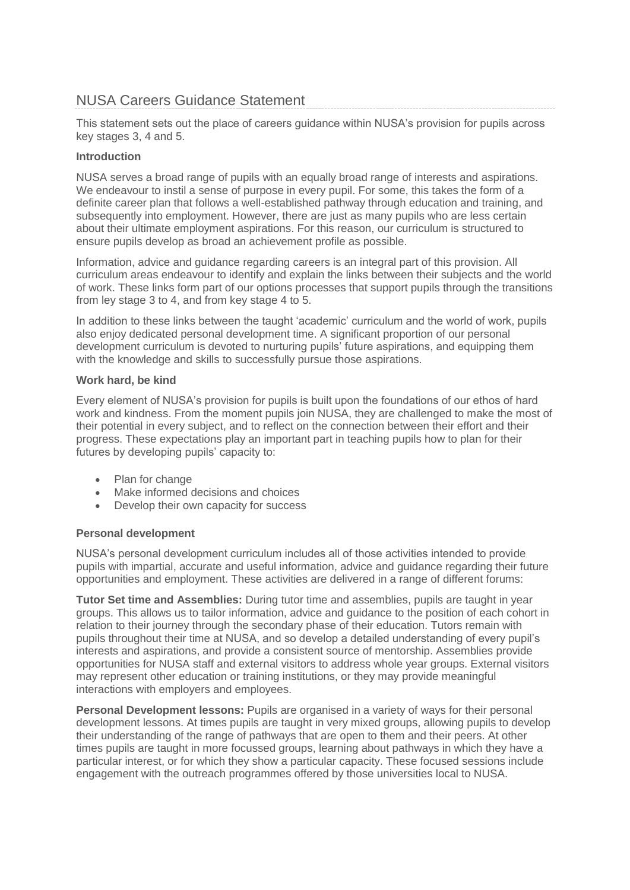# NUSA Careers Guidance Statement

This statement sets out the place of careers guidance within NUSA's provision for pupils across key stages 3, 4 and 5.

# **Introduction**

NUSA serves a broad range of pupils with an equally broad range of interests and aspirations. We endeavour to instil a sense of purpose in every pupil. For some, this takes the form of a definite career plan that follows a well-established pathway through education and training, and subsequently into employment. However, there are just as many pupils who are less certain about their ultimate employment aspirations. For this reason, our curriculum is structured to ensure pupils develop as broad an achievement profile as possible.

Information, advice and guidance regarding careers is an integral part of this provision. All curriculum areas endeavour to identify and explain the links between their subjects and the world of work. These links form part of our options processes that support pupils through the transitions from ley stage 3 to 4, and from key stage 4 to 5.

In addition to these links between the taught 'academic' curriculum and the world of work, pupils also enjoy dedicated personal development time. A significant proportion of our personal development curriculum is devoted to nurturing pupils' future aspirations, and equipping them with the knowledge and skills to successfully pursue those aspirations.

# **Work hard, be kind**

Every element of NUSA's provision for pupils is built upon the foundations of our ethos of hard work and kindness. From the moment pupils join NUSA, they are challenged to make the most of their potential in every subject, and to reflect on the connection between their effort and their progress. These expectations play an important part in teaching pupils how to plan for their futures by developing pupils' capacity to:

- Plan for change
- Make informed decisions and choices
- Develop their own capacity for success

# **Personal development**

NUSA's personal development curriculum includes all of those activities intended to provide pupils with impartial, accurate and useful information, advice and guidance regarding their future opportunities and employment. These activities are delivered in a range of different forums:

**Tutor Set time and Assemblies:** During tutor time and assemblies, pupils are taught in year groups. This allows us to tailor information, advice and guidance to the position of each cohort in relation to their journey through the secondary phase of their education. Tutors remain with pupils throughout their time at NUSA, and so develop a detailed understanding of every pupil's interests and aspirations, and provide a consistent source of mentorship. Assemblies provide opportunities for NUSA staff and external visitors to address whole year groups. External visitors may represent other education or training institutions, or they may provide meaningful interactions with employers and employees.

**Personal Development lessons:** Pupils are organised in a variety of ways for their personal development lessons. At times pupils are taught in very mixed groups, allowing pupils to develop their understanding of the range of pathways that are open to them and their peers. At other times pupils are taught in more focussed groups, learning about pathways in which they have a particular interest, or for which they show a particular capacity. These focused sessions include engagement with the outreach programmes offered by those universities local to NUSA.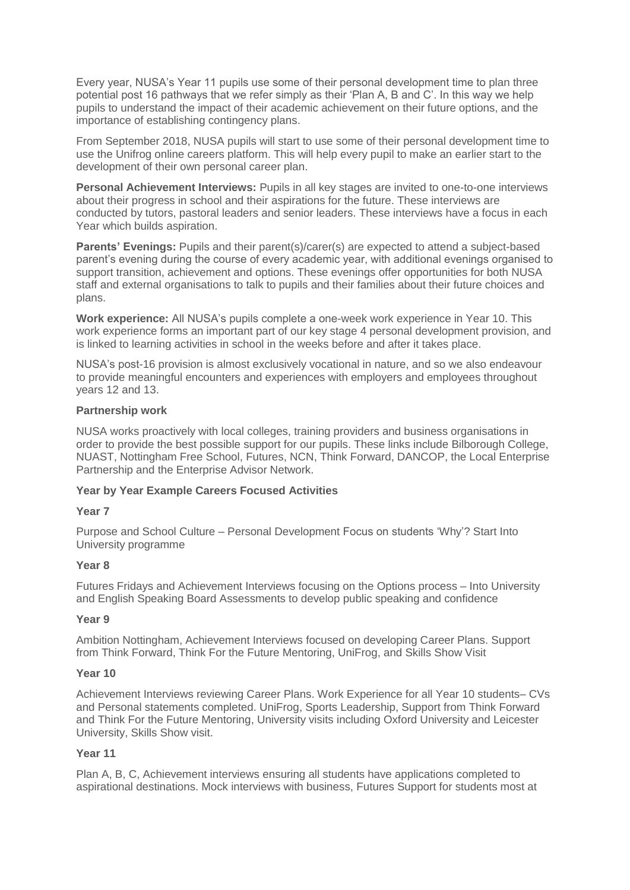Every year, NUSA's Year 11 pupils use some of their personal development time to plan three potential post 16 pathways that we refer simply as their 'Plan A, B and C'. In this way we help pupils to understand the impact of their academic achievement on their future options, and the importance of establishing contingency plans.

From September 2018, NUSA pupils will start to use some of their personal development time to use the Unifrog online careers platform. This will help every pupil to make an earlier start to the development of their own personal career plan.

**Personal Achievement Interviews:** Pupils in all key stages are invited to one-to-one interviews about their progress in school and their aspirations for the future. These interviews are conducted by tutors, pastoral leaders and senior leaders. These interviews have a focus in each Year which builds aspiration.

**Parents' Evenings:** Pupils and their parent(s)/carer(s) are expected to attend a subject-based parent's evening during the course of every academic year, with additional evenings organised to support transition, achievement and options. These evenings offer opportunities for both NUSA staff and external organisations to talk to pupils and their families about their future choices and plans.

**Work experience:** All NUSA's pupils complete a one-week work experience in Year 10. This work experience forms an important part of our key stage 4 personal development provision, and is linked to learning activities in school in the weeks before and after it takes place.

NUSA's post-16 provision is almost exclusively vocational in nature, and so we also endeavour to provide meaningful encounters and experiences with employers and employees throughout years 12 and 13.

# **Partnership work**

NUSA works proactively with local colleges, training providers and business organisations in order to provide the best possible support for our pupils. These links include Bilborough College, NUAST, Nottingham Free School, Futures, NCN, Think Forward, DANCOP, the Local Enterprise Partnership and the Enterprise Advisor Network.

# **Year by Year Example Careers Focused Activities**

#### **Year 7**

Purpose and School Culture – Personal Development Focus on students 'Why'? Start Into University programme

# **Year 8**

Futures Fridays and Achievement Interviews focusing on the Options process – Into University and English Speaking Board Assessments to develop public speaking and confidence

#### **Year 9**

Ambition Nottingham, Achievement Interviews focused on developing Career Plans. Support from Think Forward, Think For the Future Mentoring, UniFrog, and Skills Show Visit

#### **Year 10**

Achievement Interviews reviewing Career Plans. Work Experience for all Year 10 students– CVs and Personal statements completed. UniFrog, Sports Leadership, Support from Think Forward and Think For the Future Mentoring, University visits including Oxford University and Leicester University, Skills Show visit.

# **Year 11**

Plan A, B, C, Achievement interviews ensuring all students have applications completed to aspirational destinations. Mock interviews with business, Futures Support for students most at